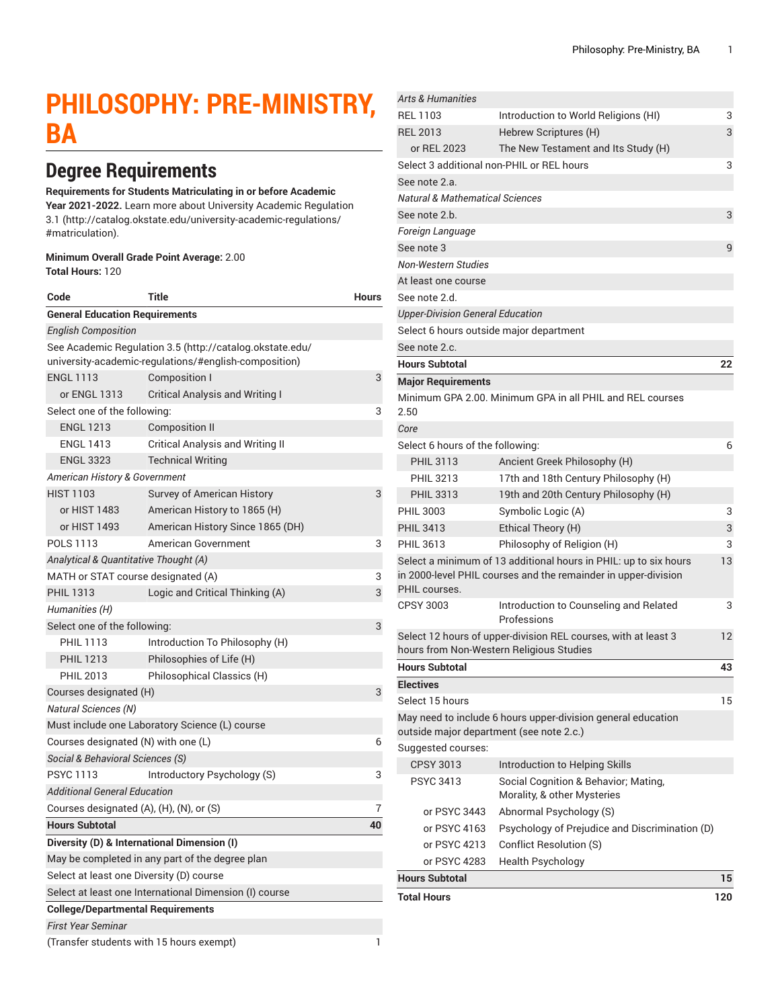# **PHILOSOPHY: PRE-MINISTRY, BA**

## **Degree Requirements**

#### **Requirements for Students Matriculating in or before Academic**

**Year 2021-2022.** Learn more about University Academic [Regulation](http://catalog.okstate.edu/university-academic-regulations/#matriculation) [3.1](http://catalog.okstate.edu/university-academic-regulations/#matriculation) ([http://catalog.okstate.edu/university-academic-regulations/](http://catalog.okstate.edu/university-academic-regulations/#matriculation) [#matriculation\)](http://catalog.okstate.edu/university-academic-regulations/#matriculation).

#### **Minimum Overall Grade Point Average:** 2.00 **Total Hours:** 120

| Code                                           | <b>Title</b>                                                                                                      | <b>Hours</b> |  |
|------------------------------------------------|-------------------------------------------------------------------------------------------------------------------|--------------|--|
| <b>General Education Requirements</b>          |                                                                                                                   |              |  |
| <b>English Composition</b>                     |                                                                                                                   |              |  |
|                                                | See Academic Regulation 3.5 (http://catalog.okstate.edu/<br>university-academic-regulations/#english-composition) |              |  |
| <b>ENGL 1113</b>                               | Composition I                                                                                                     | 3            |  |
| or ENGL 1313                                   | <b>Critical Analysis and Writing I</b>                                                                            |              |  |
| Select one of the following:                   | 3                                                                                                                 |              |  |
| <b>ENGL 1213</b>                               | Composition II                                                                                                    |              |  |
| <b>ENGL 1413</b>                               | <b>Critical Analysis and Writing II</b>                                                                           |              |  |
| <b>ENGL 3323</b>                               | <b>Technical Writing</b>                                                                                          |              |  |
| American History & Government                  |                                                                                                                   |              |  |
| <b>HIST 1103</b>                               | Survey of American History                                                                                        | 3            |  |
| or HIST 1483                                   | American History to 1865 (H)                                                                                      |              |  |
| or HIST 1493                                   | American History Since 1865 (DH)                                                                                  |              |  |
| <b>POLS 1113</b>                               | American Government                                                                                               | 3            |  |
| Analytical & Quantitative Thought (A)          |                                                                                                                   |              |  |
| MATH or STAT course designated (A)             |                                                                                                                   | 3            |  |
| <b>PHIL 1313</b>                               | Logic and Critical Thinking (A)                                                                                   | 3            |  |
| Humanities (H)                                 |                                                                                                                   |              |  |
| Select one of the following:                   |                                                                                                                   | 3            |  |
| <b>PHIL 1113</b>                               | Introduction To Philosophy (H)                                                                                    |              |  |
| <b>PHIL 1213</b>                               | Philosophies of Life (H)                                                                                          |              |  |
| <b>PHIL 2013</b>                               | Philosophical Classics (H)                                                                                        |              |  |
| Courses designated (H)<br>3                    |                                                                                                                   |              |  |
| <b>Natural Sciences (N)</b>                    |                                                                                                                   |              |  |
| Must include one Laboratory Science (L) course |                                                                                                                   |              |  |
| Courses designated (N) with one (L)            |                                                                                                                   | 6            |  |
| Social & Behavioral Sciences (S)               |                                                                                                                   |              |  |
| <b>PSYC 1113</b>                               | Introductory Psychology (S)                                                                                       | 3            |  |
| <b>Additional General Education</b>            |                                                                                                                   |              |  |
| Courses designated (A), (H), (N), or (S)       |                                                                                                                   | 7            |  |
| <b>Hours Subtotal</b>                          |                                                                                                                   | 40           |  |
|                                                | Diversity (D) & International Dimension (I)                                                                       |              |  |
|                                                | May be completed in any part of the degree plan                                                                   |              |  |
| Select at least one Diversity (D) course       |                                                                                                                   |              |  |
|                                                | Select at least one International Dimension (I) course                                                            |              |  |
| <b>College/Departmental Requirements</b>       |                                                                                                                   |              |  |
| <b>First Year Seminar</b>                      |                                                                                                                   |              |  |
| (Transfer students with 15 hours exempt)       |                                                                                                                   |              |  |

| <b>Total Hours</b>                        |                                                                                                            | 120 |
|-------------------------------------------|------------------------------------------------------------------------------------------------------------|-----|
| <b>Hours Subtotal</b>                     |                                                                                                            | 15  |
| or PSYC 4283                              | <b>Health Psychology</b>                                                                                   |     |
| or PSYC 4213                              | <b>Conflict Resolution (S)</b>                                                                             |     |
| or PSYC 4163                              | Psychology of Prejudice and Discrimination (D)                                                             |     |
| or PSYC 3443                              | Abnormal Psychology (S)                                                                                    |     |
|                                           | Morality, & other Mysteries                                                                                |     |
| <b>PSYC 3413</b>                          | Social Cognition & Behavior; Mating,                                                                       |     |
| <b>CPSY 3013</b>                          | Introduction to Helping Skills                                                                             |     |
| Suggested courses:                        |                                                                                                            |     |
| outside major department (see note 2.c.)  | May need to include 6 hours upper-division general education                                               |     |
| Select 15 hours                           |                                                                                                            | 15  |
| <b>Electives</b>                          |                                                                                                            |     |
| <b>Hours Subtotal</b>                     |                                                                                                            | 43  |
|                                           | Select 12 hours of upper-division REL courses, with at least 3<br>hours from Non-Western Religious Studies | 12  |
| <b>CPSY 3003</b>                          | Introduction to Counseling and Related<br>Professions                                                      | 3   |
| PHIL courses.                             | in 2000-level PHIL courses and the remainder in upper-division                                             |     |
|                                           | Select a minimum of 13 additional hours in PHIL: up to six hours                                           | 13  |
| <b>PHIL 3613</b>                          | Philosophy of Religion (H)                                                                                 | 3   |
| <b>PHIL 3413</b>                          | Ethical Theory (H)                                                                                         | 3   |
| <b>PHIL 3003</b>                          | Symbolic Logic (A)                                                                                         | 3   |
| <b>PHIL 3313</b>                          | 19th and 20th Century Philosophy (H)                                                                       |     |
| <b>PHIL 3213</b>                          | 17th and 18th Century Philosophy (H)                                                                       |     |
| <b>PHIL 3113</b>                          | Ancient Greek Philosophy (H)                                                                               |     |
|                                           |                                                                                                            |     |
| Select 6 hours of the following:          |                                                                                                            | 6   |
| 2.50<br>Core                              | Minimum GPA 2.00. Minimum GPA in all PHIL and REL courses                                                  |     |
| <b>Major Requirements</b>                 |                                                                                                            |     |
| <b>Hours Subtotal</b>                     |                                                                                                            | 22  |
| See note 2.c.                             |                                                                                                            |     |
| Select 6 hours outside major department   |                                                                                                            |     |
| <b>Upper-Division General Education</b>   |                                                                                                            |     |
| See note 2.d.                             |                                                                                                            |     |
| At least one course                       |                                                                                                            |     |
| Non-Western Studies                       |                                                                                                            |     |
| See note 3                                |                                                                                                            | 9   |
| Foreign Language                          |                                                                                                            |     |
| See note 2.b.                             |                                                                                                            | 3   |
| Natural & Mathematical Sciences           |                                                                                                            |     |
| See note 2.a.                             |                                                                                                            |     |
| Select 3 additional non-PHIL or REL hours |                                                                                                            | 3   |
| or REL 2023                               | The New Testament and Its Study (H)                                                                        |     |
| <b>REL 2013</b>                           | Hebrew Scriptures (H)                                                                                      | 3   |
| <b>REL 1103</b>                           | Introduction to World Religions (HI)                                                                       | 3   |
| <b>Arts &amp; Humanities</b>              |                                                                                                            |     |
|                                           |                                                                                                            |     |